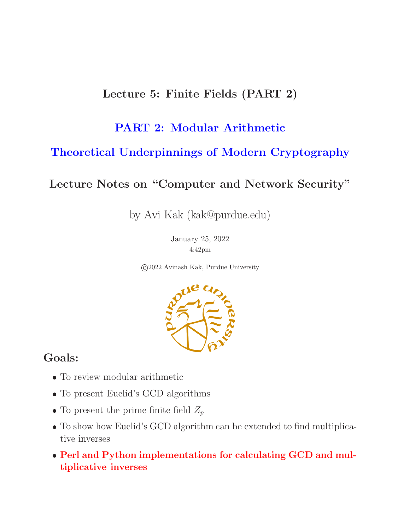### Lecture 5: Finite Fields (PART 2)

### PART 2: Modular Arithmetic

### Theoretical Underpinnings of Modern Cryptography

#### Lecture Notes on "Computer and Network Security"

by Avi Kak (kak@purdue.edu)

January 25, 2022 4:42pm

©2022 Avinash Kak, Purdue University



#### Goals:

- To review modular arithmetic
- To present Euclid's GCD algorithms
- To present the prime finite field  $Z_p$
- To show how Euclid's GCD algorithm can be extended to find multiplicative inverses
- Perl and Python implementations for calculating GCD and multiplicative inverses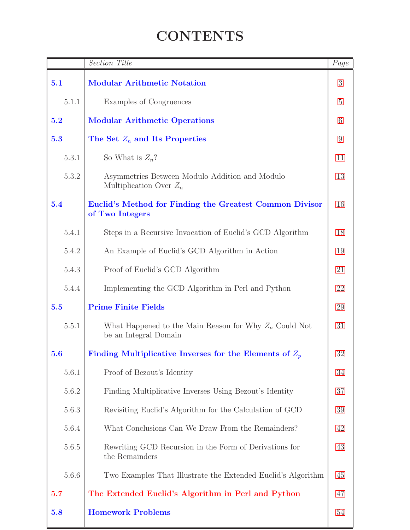# **CONTENTS**

<span id="page-1-0"></span>

|           | <b>Section Title</b>                                                              | $\overline{Page}$ |
|-----------|-----------------------------------------------------------------------------------|-------------------|
| 5.1       | <b>Modular Arithmetic Notation</b>                                                | 3                 |
| 5.1.1     | Examples of Congruences                                                           | $5\,$             |
| 5.2       | <b>Modular Arithmetic Operations</b>                                              | 6                 |
| 5.3       | The Set $Z_n$ and Its Properties                                                  | $9\,$             |
| 5.3.1     | So What is $Z_n$ ?                                                                | 11                |
| 5.3.2     | Asymmetries Between Modulo Addition and Modulo<br>Multiplication Over $Z_n$       | 13                |
| 5.4       | Euclid's Method for Finding the Greatest Common Divisor<br>of Two Integers        | 16                |
| $5.4.1\,$ | Steps in a Recursive Invocation of Euclid's GCD Algorithm                         | 18                |
| 5.4.2     | An Example of Euclid's GCD Algorithm in Action                                    | 19                |
| 5.4.3     | Proof of Euclid's GCD Algorithm                                                   | 21                |
| 5.4.4     | Implementing the GCD Algorithm in Perl and Python                                 | 22                |
| 5.5       | <b>Prime Finite Fields</b>                                                        | 29                |
| 5.5.1     | What Happened to the Main Reason for Why $Z_n$ Could Not<br>be an Integral Domain | 31                |
| 5.6       | Finding Multiplicative Inverses for the Elements of $Z_p$                         | 32                |
| 5.6.1     | Proof of Bezout's Identity                                                        | 34                |
| 5.6.2     | Finding Multiplicative Inverses Using Bezout's Identity                           | 37                |
| 5.6.3     | Revisiting Euclid's Algorithm for the Calculation of GCD                          | 39                |
| 5.6.4     | What Conclusions Can We Draw From the Remainders?                                 | 42                |
| $5.6.5\,$ | Rewriting GCD Recursion in the Form of Derivations for<br>the Remainders          | 43                |
| $5.6.6\,$ | Two Examples That Illustrate the Extended Euclid's Algorithm                      | 45                |
| 5.7       | The Extended Euclid's Algorithm in Perl and Python                                | 47                |
| 5.8       | <b>Homework Problems</b>                                                          | 54                |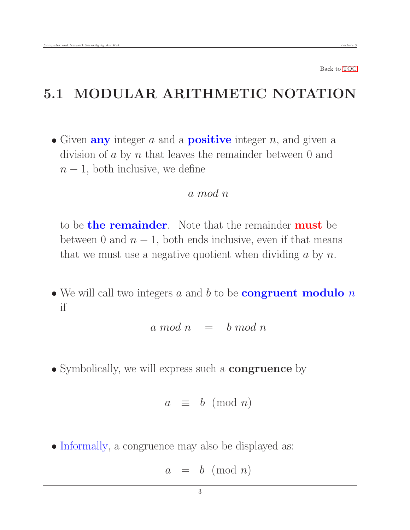# 5.1 MODULAR ARITHMETIC NOTATION

• Given **any** integer  $a$  and a **positive** integer  $n$ , and given a division of  $a$  by  $n$  that leaves the remainder between 0 and  $n-1$ , both inclusive, we define

#### <span id="page-2-0"></span>a mod n

to be **the remainder**. Note that the remainder **must** be between 0 and  $n - 1$ , both ends inclusive, even if that means that we must use a negative quotient when dividing  $a$  by  $n$ .

 $\bullet$  We will call two integers a and b to be **congruent modulo** n if

$$
a \bmod n \quad = \quad b \bmod n
$$

• Symbolically, we will express such a **congruence** by

$$
a \equiv b \pmod{n}
$$

• Informally, a congruence may also be displayed as:

$$
a = b \pmod{n}
$$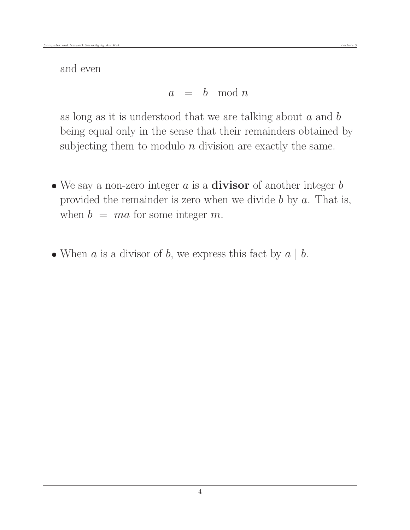and even

$$
a = b \mod n
$$

as long as it is understood that we are talking about  $a$  and  $b$ being equal only in the sense that their remainders obtained by subjecting them to modulo  $n$  division are exactly the same.

- We say a non-zero integer  $a$  is a **divisor** of another integer  $b$ provided the remainder is zero when we divide  $b$  by  $a$ . That is, when  $b = ma$  for some integer m.
- When  $a$  is a divisor of  $b$ , we express this fact by  $a \mid b$ .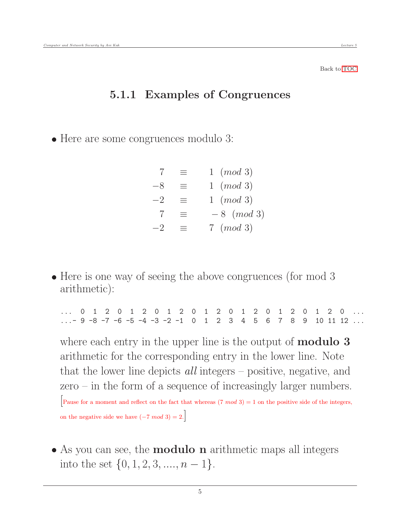#### 5.1.1 Examples of Congruences

• Here are some congruences modulo 3:

<span id="page-4-0"></span>
$$
7 \equiv 1 \pmod{3}
$$
  
\n
$$
-8 \equiv 1 \pmod{3}
$$
  
\n
$$
-2 \equiv 1 \pmod{3}
$$
  
\n
$$
7 \equiv -8 \pmod{3}
$$
  
\n
$$
-2 \equiv 7 \pmod{3}
$$

• Here is one way of seeing the above congruences (for mod 3 arithmetic):

... 0 1 2 0 1 2 0 1 2 0 1 2 0 1 2 0 1 2 0 1 2 0  $\ldots$  - 9 - 8 - 7 - 6 - 5 - 4 - 3 - 2 - 1 0 1 2 3 4 5 6 7 8 9 10 11 12  $\ldots$ 

where each entry in the upper line is the output of **modulo 3** arithmetic for the corresponding entry in the lower line. Note that the lower line depicts all integers – positive, negative, and zero – in the form of a sequence of increasingly larger numbers. Pause for a moment and reflect on the fact that whereas  $(7 \mod 3) = 1$  on the positive side of the integers, on the negative side we have  $(-7 \mod 3) = 2$ .

• As you can see, the **modulo n** arithmetic maps all integers into the set  $\{0, 1, 2, 3, \ldots, n-1\}.$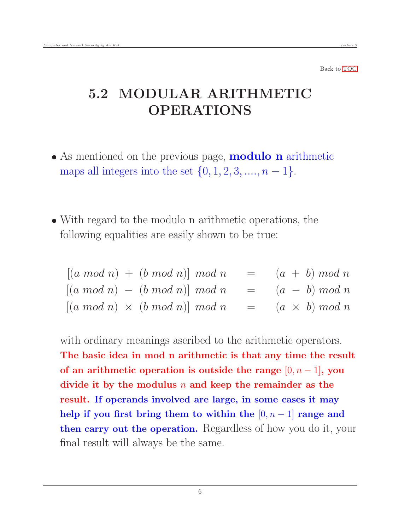# <span id="page-5-0"></span>5.2 MODULAR ARITHMETIC OPERATIONS

- As mentioned on the previous page, **modulo n** arithmetic maps all integers into the set  $\{0, 1, 2, 3, ..., n - 1\}.$
- With regard to the modulo n arithmetic operations, the following equalities are easily shown to be true:

 $[(a \mod n) + (b \mod n)] \mod n = (a + b) \mod n$  $[(a \mod n) - (b \mod n)] \mod n = (a - b) \mod n$  $[(a \mod n) \times (b \mod n)] \mod n = (a \times b) \mod n$ 

with ordinary meanings ascribed to the arithmetic operators. The basic idea in mod n arithmetic is that any time the result of an arithmetic operation is outside the range  $[0, n-1]$ , you divide it by the modulus  $n$  and keep the remainder as the result. If operands involved are large, in some cases it may help if you first bring them to within the  $[0, n-1]$  range and then carry out the operation. Regardless of how you do it, your final result will always be the same.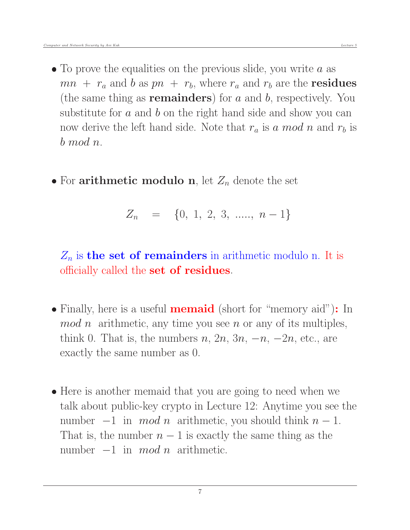- $\bullet$  To prove the equalities on the previous slide, you write a as  $mn + r_a$  and b as  $pn + r_b$ , where  $r_a$  and  $r_b$  are the **residues** (the same thing as **remainders**) for  $a$  and  $b$ , respectively. You substitute for  $a$  and  $b$  on the right hand side and show you can now derive the left hand side. Note that  $r_a$  is a mod n and  $r_b$  is b mod n.
- For arithmetic modulo n, let  $Z_n$  denote the set

$$
Z_n = \{0, 1, 2, 3, \dots, n-1\}
$$

 $Z_n$  is the set of remainders in arithmetic modulo n. It is officially called the **set of residues**.

- Finally, here is a useful **memaid** (short for "memory aid"): In  $mod\ n$  arithmetic, any time you see n or any of its multiples, think 0. That is, the numbers  $n, 2n, 3n, -n, -2n$ , etc., are exactly the same number as 0.
- Here is another memaid that you are going to need when we talk about public-key crypto in Lecture 12: Anytime you see the number  $-1$  in  $mod\,n$  arithmetic, you should think  $n-1$ . That is, the number  $n-1$  is exactly the same thing as the number  $-1$  in mod n arithmetic.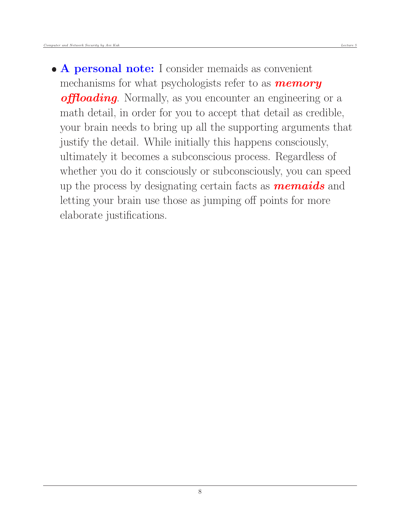• A personal note: I consider memaids as convenient mechanisms for what psychologists refer to as **memory offloading**. Normally, as you encounter an engineering or a math detail, in order for you to accept that detail as credible, your brain needs to bring up all the supporting arguments that justify the detail. While initially this happens consciously, ultimately it becomes a subconscious process. Regardless of whether you do it consciously or subconsciously, you can speed up the process by designating certain facts as **memaids** and letting your brain use those as jumping off points for more elaborate justifications.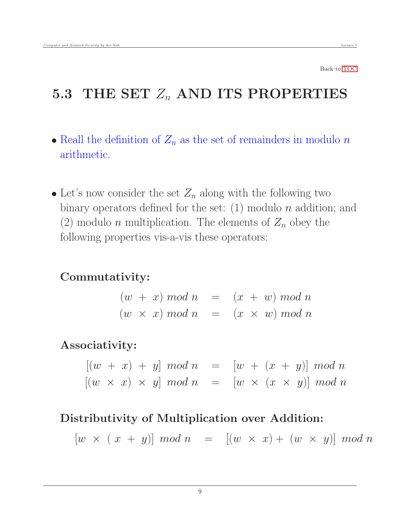# <span id="page-8-0"></span>5.3 THE SET  $Z_n$  AND ITS PROPERTIES

- Reall the definition of  $Z_n$  as the set of remainders in modulo n arithmetic.
- Let's now consider the set  $Z_n$  along with the following two binary operators defined for the set:  $(1)$  modulo n addition; and (2) modulo *n* multiplication. The elements of  $Z_n$  obey the following properties vis-a-vis these operators:

### Commutativity:

 $(w + x) \mod n = (x + w) \mod n$  $(w \times x) \mod n = (x \times w) \mod n$ 

#### Associativity:

 $[(w + x) + y] \mod n = [w + (x + y)] \mod n$  $[(w \times x) \times y] \mod n = [w \times (x \times y)] \mod n$ 

#### Distributivity of Multiplication over Addition:

 $[w \times (x + y)] \mod n = [(w \times x) + (w \times y)] \mod n$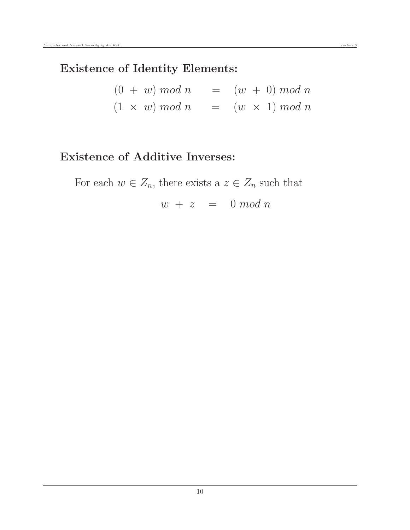### Existence of Identity Elements:

|  | $(0 + w) \mod n$      |  | $=$ $(w + 0) \mod n$    |
|--|-----------------------|--|-------------------------|
|  | $(1 \times w) \mod n$ |  | $= (w \times 1) \mod n$ |

### Existence of Additive Inverses:

For each  $w \in Z_n$ , there exists a  $z \in Z_n$  such that

 $w + z = 0 \mod n$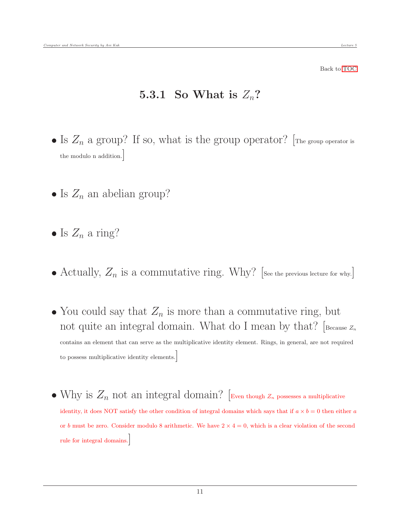#### <span id="page-10-0"></span>5.3.1 So What is  $Z_n$ ?

- Is  $Z_n$  a group? If so, what is the group operator? [The group operator is the modulo n addition.]
- Is  $Z_n$  an abelian group?
- Is  $Z_n$  a ring?
- Actually,  $Z_n$  is a commutative ring. Why? [See the previous lecture for why.]
- You could say that  $Z_n$  is more than a commutative ring, but not quite an integral domain. What do I mean by that?  $[Because \, z_n]$ contains an element that can serve as the multiplicative identity element. Rings, in general, are not required to possess multiplicative identity elements.]
- Why is  $Z_n$  not an integral domain? [Even though  $Z_n$  possesses a multiplicative identity, it does NOT satisfy the other condition of integral domains which says that if  $a \times b = 0$  then either a or b must be zero. Consider modulo 8 arithmetic. We have  $2 \times 4 = 0$ , which is a clear violation of the second rule for integral domains.]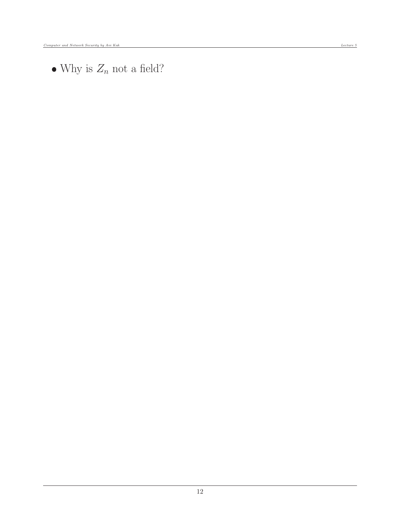$\bullet$  Why is  $Z_n$  not a field?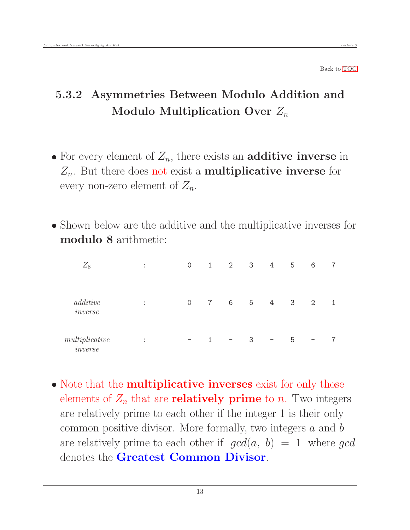## <span id="page-12-0"></span>5.3.2 Asymmetries Between Modulo Addition and Modulo Multiplication Over  $Z_n$

- For every element of  $Z_n$ , there exists an **additive inverse** in  $Z_n$ . But there does not exist a **multiplicative inverse** for every non-zero element of  $Z_n$ .
- Shown below are the additive and the multiplicative inverses for modulo 8 arithmetic:

| $Z_8$                          | $\bullet$<br>$\cdot$              | $\mathbf 0$              | $\mathbf{1}$   | $\overline{2}$           | 3 | 4                        | 5                       | 6              |   |
|--------------------------------|-----------------------------------|--------------------------|----------------|--------------------------|---|--------------------------|-------------------------|----------------|---|
| additive<br>$\cdot$<br>inverse | $\bullet$<br>$\bullet$            | $\mathbf 0$              | $\overline{7}$ | 6                        | 5 | 4                        | $\overline{\mathbf{3}}$ | $\overline{2}$ | 1 |
| multiplicative<br>inverse      | $\bullet$<br>$\ddot{\phantom{0}}$ | $\overline{\phantom{0}}$ |                | $\overline{\phantom{m}}$ | 3 | $\overline{\phantom{m}}$ | 5                       |                |   |

• Note that the **multiplicative inverses** exist for only those elements of  $Z_n$  that are **relatively prime** to n. Two integers are relatively prime to each other if the integer 1 is their only common positive divisor. More formally, two integers  $a$  and  $b$ are relatively prime to each other if  $gcd(a, b) = 1$  where gcd denotes the Greatest Common Divisor.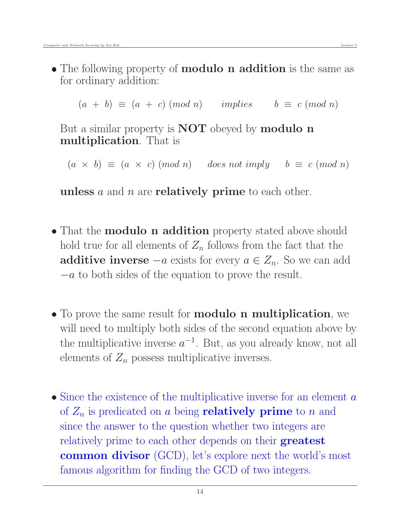• The following property of **modulo n addition** is the same as for ordinary addition:

 $(a + b) \equiv (a + c) \pmod{n}$  implies  $b \equiv c \pmod{n}$ 

But a similar property is **NOT** obeyed by **modulo n** multiplication. That is

 $(a \times b) \equiv (a \times c) \pmod{n}$  does not imply  $b \equiv c \pmod{n}$ 

unless  $a$  and  $n$  are **relatively prime** to each other.

- That the **modulo n addition** property stated above should hold true for all elements of  $Z_n$  follows from the fact that the **additive inverse**  $-a$  exists for every  $a \in Z_n$ . So we can add  $-a$  to both sides of the equation to prove the result.
- To prove the same result for **modulo n multiplication**, we will need to multiply both sides of the second equation above by the multiplicative inverse  $a^{-1}$ . But, as you already know, not all elements of  $Z_n$  possess multiplicative inverses.
- $\bullet$  Since the existence of the multiplicative inverse for an element  $\alpha$ of  $Z_n$  is predicated on a being **relatively prime** to n and since the answer to the question whether two integers are relatively prime to each other depends on their **greatest** common divisor (GCD), let's explore next the world's most famous algorithm for finding the GCD of two integers.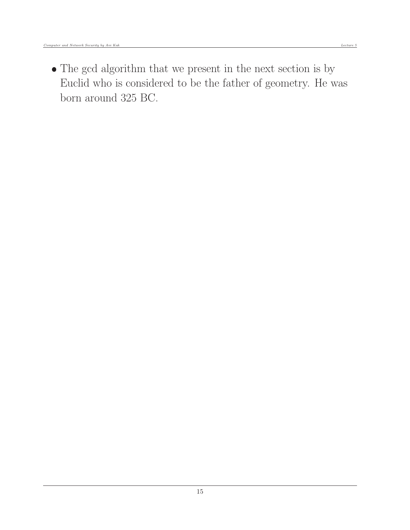The gcd algorithm that we present in the next section is by Euclid who is considered to be the father of geometry. He was born around 325 BC.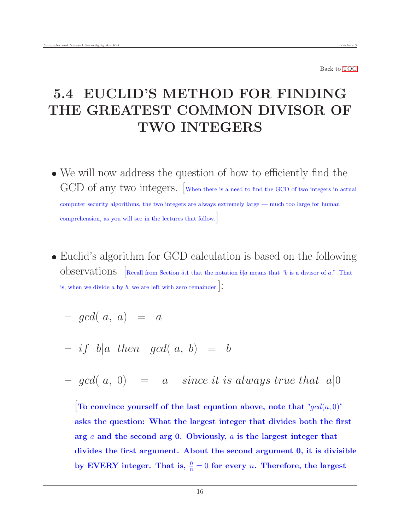# <span id="page-15-0"></span>5.4 EUCLID'S METHOD FOR FINDING THE GREATEST COMMON DIVISOR OF TWO INTEGERS

- We will now address the question of how to efficiently find the GCD of any two integers. When there is a need to find the GCD of two integers in actual computer security algorithms, the two integers are always extremely large — much too large for human comprehension, as you will see in the lectures that follow.]
- Euclid's algorithm for GCD calculation is based on the following Observations [Recall from Section 5.1 that the notation  $b|a$  means that "b is a divisor of a." That is, when we divide a by  $b$ , we are left with zero remainder. $|\vdots$

$$
- \gcd(\; a, \; a) \;\; = \;\; a
$$

$$
- if b|a then gcd(a, b) = b
$$

 $-$  gcd( a, 0) = a since it is always true that a|0

To convince yourself of the last equation above, note that ' $gcd(a, 0)$ ' asks the question: What the largest integer that divides both the first arg a and the second arg 0. Obviously, a is the largest integer that divides the first argument. About the second argument 0, it is divisible by EVERY integer. That is,  $\frac{0}{n} = 0$  for every *n*. Therefore, the largest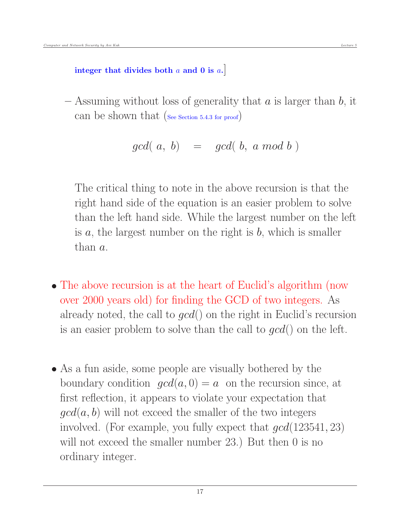$-$  Assuming without loss of generality that a is larger than b, it can be shown that (See Section 5.4.3 for proof)

$$
gcd(\,\,a,\,\,b)\quad =\quad gcd(\,\,b,\,\,a\,\,mod\,\,b\,\,)
$$

The critical thing to note in the above recursion is that the right hand side of the equation is an easier problem to solve than the left hand side. While the largest number on the left is  $a$ , the largest number on the right is  $b$ , which is smaller than a.

- The above recursion is at the heart of Euclid's algorithm (now over 2000 years old) for finding the GCD of two integers. As already noted, the call to  $qcd()$  on the right in Euclid's recursion is an easier problem to solve than the call to  $gcd()$  on the left.
- As a fun aside, some people are visually bothered by the boundary condition  $qcd(a, 0) = a$  on the recursion since, at first reflection, it appears to violate your expectation that  $\gcd(a, b)$  will not exceed the smaller of the two integers involved. (For example, you fully expect that  $gcd(123541, 23)$ ) will not exceed the smaller number 23.) But then 0 is no ordinary integer.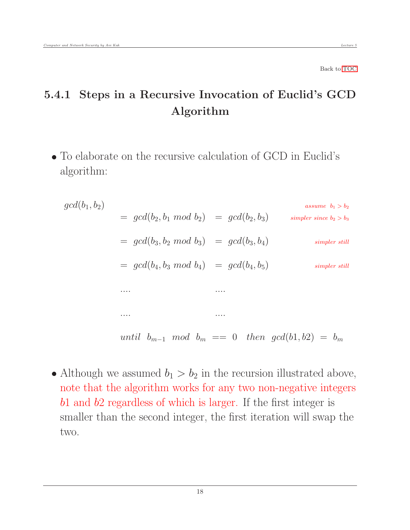## <span id="page-17-0"></span>5.4.1 Steps in a Recursive Invocation of Euclid's GCD Algorithm

 To elaborate on the recursive calculation of GCD in Euclid's algorithm:

$$
gcd(b_1, b_2)
$$
\n
$$
= gcd(b_2, b_1 \mod b_2) = gcd(b_2, b_3)
$$
\n
$$
= gcd(b_3, b_2 \mod b_3) = gcd(b_3, b_4)
$$
\n
$$
= gcd(b_4, b_3 \mod b_4) = gcd(b_4, b_5)
$$
\n
$$
= gcd(b_4, b_3 \mod b_4) = gcd(b_4, b_5)
$$
\n
$$
= \text{sum}
$$
\n
$$
= \text{sum}
$$
\n
$$
= \text{sum}
$$
\n
$$
= \text{sum}
$$
\n
$$
= \text{sum}
$$
\n
$$
= \text{sum}
$$
\n
$$
= \text{sum}
$$
\n
$$
= \text{sum}
$$
\n
$$
= \text{sum}
$$
\n
$$
gcd(b_1, b_2) = b_m
$$

• Although we assumed  $b_1 > b_2$  in the recursion illustrated above, note that the algorithm works for any two non-negative integers b1 and b2 regardless of which is larger. If the first integer is smaller than the second integer, the first iteration will swap the two.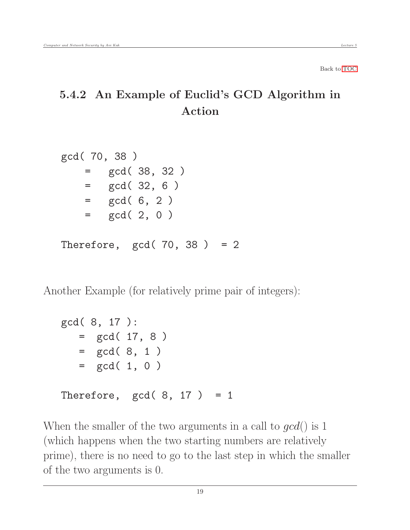## <span id="page-18-0"></span>5.4.2 An Example of Euclid's GCD Algorithm in Action

```
gcd( 70, 38 )
   = gcd( 38, 32 )
   = gcd(32, 6)
   = gcd( 6, 2 )
   = gcd( 2, 0)
Therefore, gcd(70, 38) = 2
```
Another Example (for relatively prime pair of integers):

```
gcd( 8, 17 ):
  = gcd( 17, 8)
  = gcd(8, 1)= gcd( 1, 0)
Therefore, gcd(8, 17) = 1
```
When the smaller of the two arguments in a call to  $qcd()$  is 1 (which happens when the two starting numbers are relatively prime), there is no need to go to the last step in which the smaller of the two arguments is 0.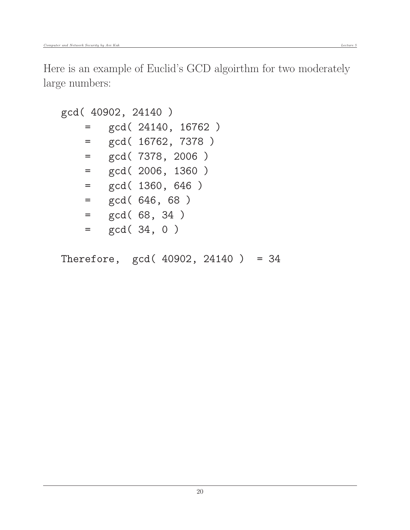Here is an example of Euclid's GCD algoirthm for two moderately large numbers:

```
gcd( 40902, 24140 )
   = gcd( 24140, 16762 )
   = gcd( 16762, 7378 )
   = gcd( 7378, 2006 )
   = gcd( 2006, 1360 )
   = gcd( 1360, 646 )
   = gcd( 646, 68 )
   = gcd( 68, 34 )
   = gcd( 34, 0 )
```
Therefore, gcd( 40902, 24140 ) = 34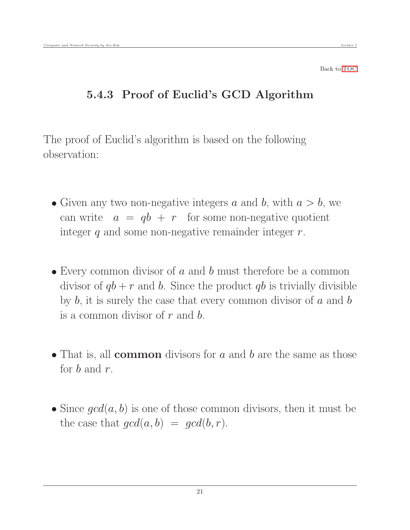### <span id="page-20-0"></span>5.4.3 Proof of Euclid's GCD Algorithm

The proof of Euclid's algorithm is based on the following observation:

- Given any two non-negative integers a and b, with  $a > b$ , we can write  $a = qb + r$  for some non-negative quotient integer  $q$  and some non-negative remainder integer  $r$ .
- $\bullet$  Every common divisor of a and b must therefore be a common divisor of  $qb + r$  and b. Since the product qb is trivially divisible by  $b$ , it is surely the case that every common divisor of  $a$  and  $b$ is a common divisor of  $r$  and  $b$ .
- $\bullet$  That is, all **common** divisors for a and b are the same as those for b and r.
- Since  $qcd(a, b)$  is one of those common divisors, then it must be the case that  $qcd(a, b) = qcd(b, r)$ .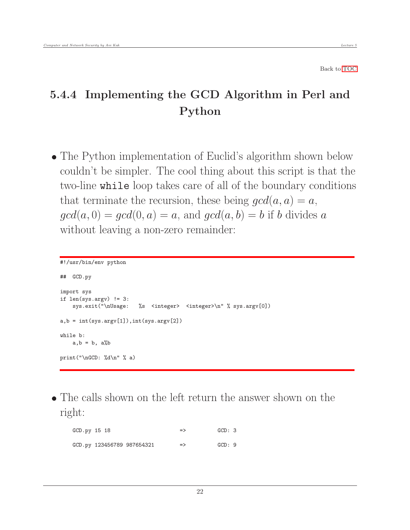## <span id="page-21-0"></span>5.4.4 Implementing the GCD Algorithm in Perl and Python

• The Python implementation of Euclid's algorithm shown below couldn't be simpler. The cool thing about this script is that the two-line while loop takes care of all of the boundary conditions that terminate the recursion, these being  $gcd(a, a) = a$ ,  $gcd(a, 0) = gcd(0, a) = a$ , and  $gcd(a, b) = b$  if b divides a without leaving a non-zero remainder:

```
#!/usr/bin/env python
## GCD.py
import sys
if len(sys.argv) != 3:
    sys.exit("\nUsage: %s <integer> <integer>\n" % sys.argv[0])
a,b = int(sys.argv[1]), int(sys.argv[2])while b:
   a, b = b, a''_bprint("\nGCD: %d\n" % a)
```
 The calls shown on the left return the answer shown on the right:

| GCD.py 15 18 |                            | $\Rightarrow$ | GCD: 3 |  |
|--------------|----------------------------|---------------|--------|--|
|              | GCD.py 123456789 987654321 | $\Rightarrow$ | GCD:9  |  |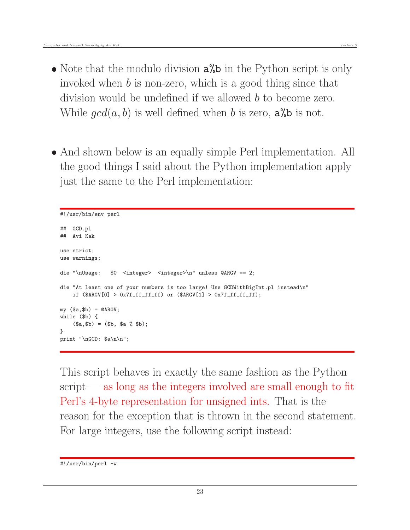- Note that the modulo division  $a''_b$  in the Python script is only invoked when b is non-zero, which is a good thing since that division would be undefined if we allowed b to become zero. While  $gcd(a, b)$  is well defined when b is zero,  $a\%b$  is not.
- And shown below is an equally simple Perl implementation. All the good things I said about the Python implementation apply just the same to the Perl implementation:

```
#!/usr/bin/env perl
## GCD.pl
## Avi Kak
use strict;
use warnings;
die "\nUsage: $0 <integer> <integer>\n" unless @ARGV == 2;
die "At least one of your numbers is too large! Use GCDWithBigInt.pl instead\n"
    if ($ART[0] > 0x7f_fff_fff) or ($ARGV[1] > 0x7f_fff_fff);my ($a,$b) = QARGV;while ($b) {
    ($a, $b) = ($b, $a % $b);}
print "\nGCD: $a\n\n";
```
This script behaves in exactly the same fashion as the Python  $s$ cript — as long as the integers involved are small enough to fit Perl's 4-byte representation for unsigned ints. That is the reason for the exception that is thrown in the second statement. For large integers, use the following script instead:

<sup>#!/</sup>usr/bin/perl -w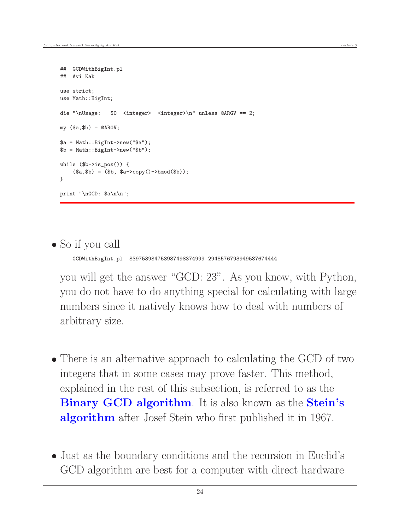```
## GCDWithBigInt.pl
## Avi Kak
use strict;
use Math::BigInt;
die "\nUsage: $0 <integer> <integer>\n" unless @ARGV == 2;
my (\$a, \$b) = @ARGV;$a = Math::BigInt->new("$a");
$b = Math::BigInt->new("$b");
while ($b->is_pos()) {
    ($a, $b) = ($b, $a->copy()->bmod($b));
}
print "\nGCD: $a\n\n";
```
#### So if you call

GCDWithBigInt.pl 839753984753987498374999 2948576793949587674444

you will get the answer "GCD: 23". As you know, with Python, you do not have to do anything special for calculating with large numbers since it natively knows how to deal with numbers of arbitrary size.

- There is an alternative approach to calculating the GCD of two integers that in some cases may prove faster. This method, explained in the rest of this subsection, is referred to as the Binary GCD algorithm. It is also known as the Stein's algorithm after Josef Stein who first published it in 1967.
- Just as the boundary conditions and the recursion in Euclid's GCD algorithm are best for a computer with direct hardware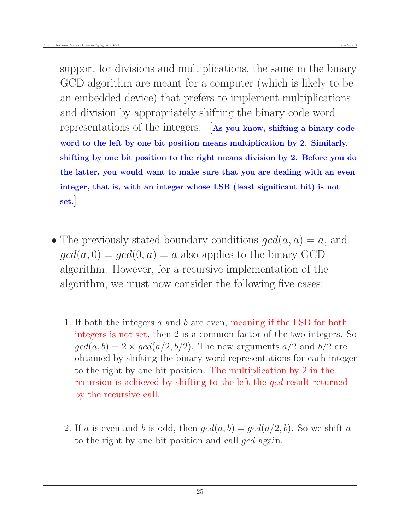support for divisions and multiplications, the same in the binary GCD algorithm are meant for a computer (which is likely to be an embedded device) that prefers to implement multiplications and division by appropriately shifting the binary code word representations of the integers. [As you know, shifting a binary code word to the left by one bit position means multiplication by 2. Similarly, shifting by one bit position to the right means division by 2. Before you do the latter, you would want to make sure that you are dealing with an even integer, that is, with an integer whose LSB (least significant bit) is not set.]

- The previously stated boundary conditions  $qcd(a, a) = a$ , and  $gcd(a, 0) = gcd(0, a) = a$  also applies to the binary GCD algorithm. However, for a recursive implementation of the algorithm, we must now consider the following five cases:
	- 1. If both the integers a and b are even, meaning if the LSB for both integers is not set, then 2 is a common factor of the two integers. So  $gcd(a, b) = 2 \times gcd(a/2, b/2)$ . The new arguments  $a/2$  and  $b/2$  are obtained by shifting the binary word representations for each integer to the right by one bit position. The multiplication by 2 in the recursion is achieved by shifting to the left the *gcd* result returned by the recursive call.
	- 2. If a is even and b is odd, then  $gcd(a, b) = gcd(a/2, b)$ . So we shift a to the right by one bit position and call gcd again.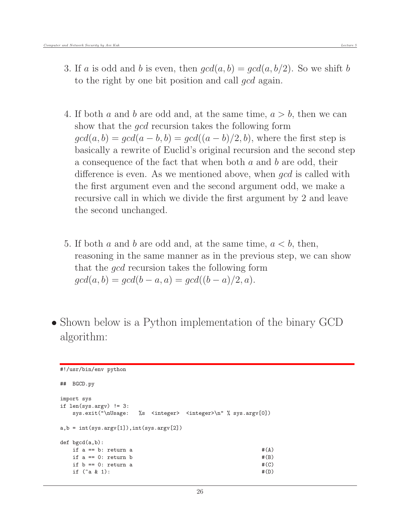- 4. If both a and b are odd and, at the same time,  $a > b$ , then we can show that the gcd recursion takes the following form  $gcd(a, b) = gcd(a - b, b) = gcd((a - b)/2, b)$ , where the first step is basically a rewrite of Euclid's original recursion and the second step a consequence of the fact that when both a and b are odd, their difference is even. As we mentioned above, when *gcd* is called with the first argument even and the second argument odd, we make a recursive call in which we divide the first argument by 2 and leave the second unchanged.
- 5. If both a and b are odd and, at the same time,  $a < b$ , then, reasoning in the same manner as in the previous step, we can show that the gcd recursion takes the following form  $gcd(a, b) = gcd(b - a, a) = gcd((b - a)/2, a).$
- Shown below is a Python implementation of the binary GCD algorithm:

```
#!/usr/bin/env python
## BGCD.py
import sys
if len(sys.argv) != 3:
  sys.exit("\nUsage: %s <integer> <integer>\n" % sys.argv[0])
a,b = int(sys.argv[1]), int(sys.argv[2])def bgcd(a,b):
  if a == b: return a #(A)if a == 0: return b #(B)if b == 0: return a \#(C)if (^{a} \& 1): \#(D)
```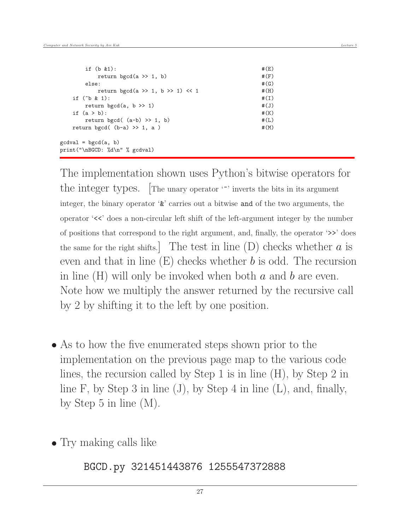| if $(b & 1)$ :                                           | # (E)     |
|----------------------------------------------------------|-----------|
| return bgcd(a $\gg$ 1, b)                                | #(F)      |
| else:                                                    | #(G)      |
| return bgcd(a >> 1, b >> 1) << 1                         | $#$ $(H)$ |
| if $(^{\sim}b$ & 1):                                     | #(I)      |
| return bgcd(a, $b \gg 1$ )                               | #(J)      |
| if $(a > b)$ :                                           | #(K)      |
| return bgcd( $(a-b) \gg 1$ , b)                          | # (L)     |
| return bgcd( $(b-a) \gg 1$ , a)                          | #(M)      |
| $gcdval = bgcd(a, b)$<br>print ("\nBGCD: %d\n" % gcdval) |           |

The implementation shown uses Python's bitwise operators for the integer types. The unary operator "" inverts the bits in its argument integer, the binary operator '&' carries out a bitwise and of the two arguments, the operator '<<' does a non-circular left shift of the left-argument integer by the number of positions that correspond to the right argument, and, finally, the operator '>>' does the same for the right shifts. The test in line  $(D)$  checks whether a is even and that in line  $(E)$  checks whether b is odd. The recursion in line  $(H)$  will only be invoked when both a and b are even. Note how we multiply the answer returned by the recursive call by 2 by shifting it to the left by one position.

- As to how the five enumerated steps shown prior to the implementation on the previous page map to the various code lines, the recursion called by Step 1 is in line (H), by Step 2 in line F, by Step 3 in line  $(J)$ , by Step 4 in line  $(L)$ , and, finally, by Step 5 in line (M).
- Try making calls like

BGCD.py 321451443876 1255547372888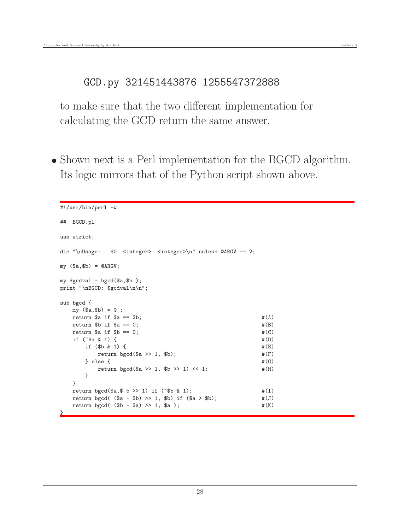#### GCD.py 321451443876 1255547372888

to make sure that the two different implementation for calculating the GCD return the same answer.

• Shown next is a Perl implementation for the BGCD algorithm. Its logic mirrors that of the Python script shown above.

```
#!/usr/bin/perl -w
## BGCD.pl
use strict;
die "\nUsage: $0 <integer> <integer>\n" unless @ARGV == 2;
my (\$a, \$b) = @ARGV;my $gcdval = bgcd($a, $b);
print "\nBGCD: $gcdval\n\n";
sub bgcd {
  my ($a,$b) = @_;
  return $a if $a == $b; \#(A)return b if a == 0; #(B)return $a if b == 0; \#(C)if (^{\circ}\$a \& 1) \{if ($b & 1) { }return bgcd(\alpha \gg 1, \phi); \#(F)} else { #(G)return bgcd($a >> 1, $b >> 1) << 1; #(H)}
  }
  return bgcd($a,$ b >> 1) if ("$b & 1); \#(I)return bgcd( ($a - $b) \gg 1, $b) if ($a > $b); #(J)return bgcd( ($b - $a) \gg 1, $a); #(K)<u>}</u>
```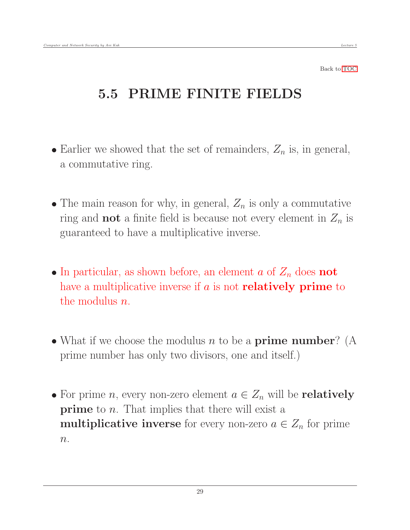# <span id="page-28-0"></span>5.5 PRIME FINITE FIELDS

- Earlier we showed that the set of remainders,  $Z_n$  is, in general, a commutative ring.
- The main reason for why, in general,  $Z_n$  is only a commutative ring and **not** a finite field is because not every element in  $Z_n$  is guaranteed to have a multiplicative inverse.
- In particular, as shown before, an element a of  $Z_n$  does **not** have a multiplicative inverse if  $a$  is not **relatively prime** to the modulus  $n$ .
- What if we choose the modulus  $n$  to be a **prime number**? (A prime number has only two divisors, one and itself.)
- For prime *n*, every non-zero element  $a \in Z_n$  will be **relatively prime** to *n*. That implies that there will exist a **multiplicative inverse** for every non-zero  $a \in Z_n$  for prime  $n$ .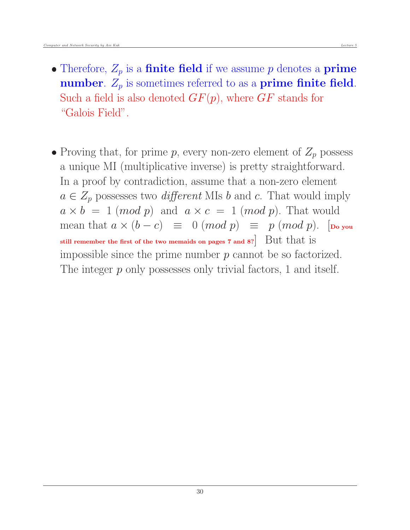- Therefore,  $Z_p$  is a **finite field** if we assume p denotes a **prime** number.  $Z_p$  is sometimes referred to as a prime finite field. Such a field is also denoted  $GF(p)$ , where  $GF$  stands for "Galois Field".
- Proving that, for prime p, every non-zero element of  $Z_p$  possess a unique MI (multiplicative inverse) is pretty straightforward. In a proof by contradiction, assume that a non-zero element  $a \in Z_p$  possesses two *different* MIs b and c. That would imply  $a \times b = 1 \pmod{p}$  and  $a \times c = 1 \pmod{p}$ . That would mean that  $a \times (b - c) \equiv 0 \pmod{p} \equiv p \pmod{p}$ . [Do you still remember the first of the two memaids on pages 7 and 8? But that is impossible since the prime number  $p$  cannot be so factorized. The integer p only possesses only trivial factors, 1 and itself.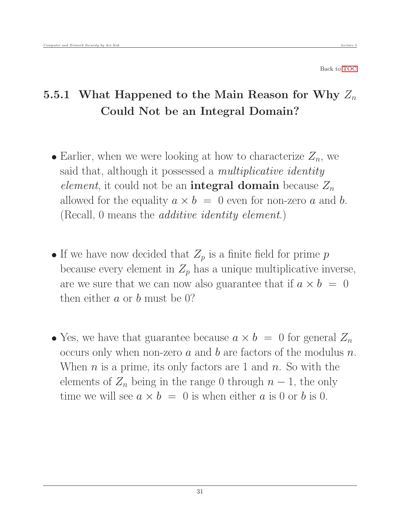## <span id="page-30-0"></span>5.5.1 What Happened to the Main Reason for Why  $Z_n$ Could Not be an Integral Domain?

- Earlier, when we were looking at how to characterize  $Z_n$ , we said that, although it possessed a *multiplicative identity* element, it could not be an **integral domain** because  $Z_n$ allowed for the equality  $a \times b = 0$  even for non-zero a and b. (Recall, 0 means the additive identity element.)
- If we have now decided that  $Z_p$  is a finite field for prime p because every element in  $Z_p$  has a unique multiplicative inverse, are we sure that we can now also guarantee that if  $a \times b = 0$ then either  $a$  or  $b$  must be 0?
- Yes, we have that guarantee because  $a \times b = 0$  for general  $Z_n$ occurs only when non-zero  $a$  and  $b$  are factors of the modulus  $n$ . When  $n$  is a prime, its only factors are 1 and  $n$ . So with the elements of  $Z_n$  being in the range 0 through  $n-1$ , the only time we will see  $a \times b = 0$  is when either a is 0 or b is 0.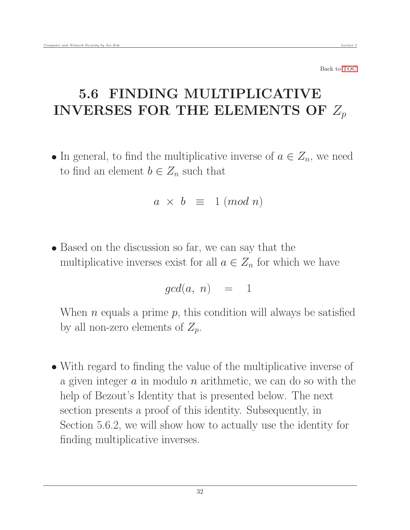# 5.6 FINDING MULTIPLICATIVE INVERSES FOR THE ELEMENTS OF  $Z_p$

• In general, to find the multiplicative inverse of  $a \in Z_n$ , we need to find an element  $b \in Z_n$  such that

<span id="page-31-0"></span>
$$
a \times b \equiv 1 \ (mod \ n)
$$

• Based on the discussion so far, we can say that the multiplicative inverses exist for all  $a \in Z_n$  for which we have

$$
gcd(a, n) = 1
$$

When *n* equals a prime  $p$ , this condition will always be satisfied by all non-zero elements of  $Z_p$ .

 With regard to finding the value of the multiplicative inverse of a given integer  $a$  in modulo  $n$  arithmetic, we can do so with the help of Bezout's Identity that is presented below. The next section presents a proof of this identity. Subsequently, in Section 5.6.2, we will show how to actually use the identity for finding multiplicative inverses.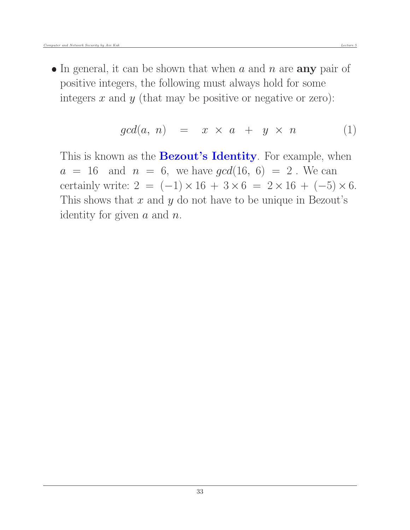$\bullet$  In general, it can be shown that when a and n are **any** pair of positive integers, the following must always hold for some integers  $x$  and  $y$  (that may be positive or negative or zero):

$$
gcd(a, n) = x \times a + y \times n \tag{1}
$$

This is known as the **Bezout's Identity**. For example, when  $a = 16$  and  $n = 6$ , we have  $gcd(16, 6) = 2$ . We can certainly write:  $2 = (-1) \times 16 + 3 \times 6 = 2 \times 16 + (-5) \times 6$ . This shows that  $x$  and  $y$  do not have to be unique in Bezout's identity for given  $a$  and  $n$ .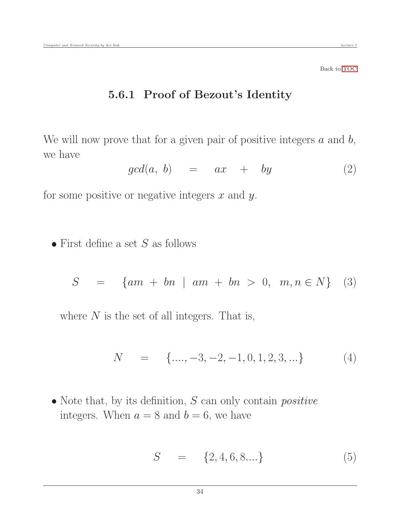#### <span id="page-33-0"></span>5.6.1 Proof of Bezout's Identity

We will now prove that for a given pair of positive integers  $a$  and  $b$ , we have

$$
gcd(a, b) = ax + by \t(2)
$$

for some positive or negative integers  $x$  and  $y$ .

 $\bullet$  First define a set S as follows

$$
S = \{ am + bn \mid am + bn > 0, m, n \in N \} \quad (3)
$$

where  $N$  is the set of all integers. That is,

$$
N = \{ \dots, -3, -2, -1, 0, 1, 2, 3, \dots \} \tag{4}
$$

 $\bullet$  Note that, by its definition,  $S$  can only contain *positive* integers. When  $a = 8$  and  $b = 6$ , we have

$$
S = \{2, 4, 6, 8... \}
$$
 (5)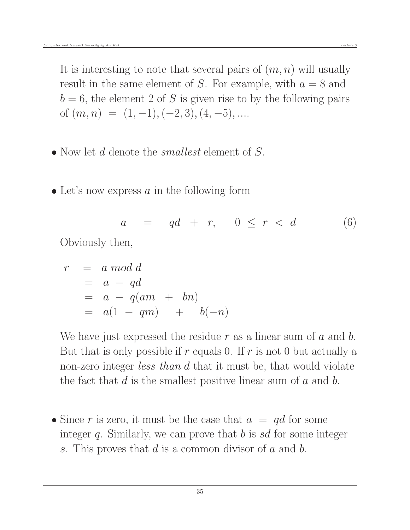It is interesting to note that several pairs of  $(m, n)$  will usually result in the same element of S. For example, with  $a = 8$  and  $b = 6$ , the element 2 of S is given rise to by the following pairs of  $(m, n) = (1, -1), (-2, 3), (4, -5), \dots$ 

- Now let d denote the *smallest* element of S.
- $\bullet$  Let's now express a in the following form

$$
a = qd + r, \quad 0 \le r < d \tag{6}
$$

Obviously then,

$$
r = a \mod d
$$
  
=  $a - qd$   
=  $a - q(am + bn)$   
=  $a(1 - qm) + b(-n)$ 

We have just expressed the residue r as a linear sum of  $a$  and  $b$ . But that is only possible if  $r$  equals 0. If  $r$  is not 0 but actually a non-zero integer *less than d* that it must be, that would violate the fact that  $d$  is the smallest positive linear sum of  $a$  and  $b$ .

• Since r is zero, it must be the case that  $a = qd$  for some integer q. Similarly, we can prove that  $b$  is sd for some integer s. This proves that  $d$  is a common divisor of  $a$  and  $b$ .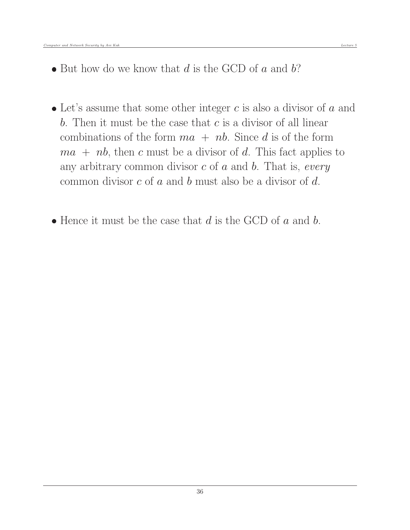- $\bullet$  But how do we know that d is the GCD of a and b?
- $\bullet$  Let's assume that some other integer c is also a divisor of a and b. Then it must be the case that  $c$  is a divisor of all linear combinations of the form  $ma + nb$ . Since d is of the form  $ma + nb$ , then c must be a divisor of d. This fact applies to any arbitrary common divisor  $c$  of  $a$  and  $b$ . That is, every common divisor c of a and b must also be a divisor of d.
- $\bullet$  Hence it must be the case that d is the GCD of a and b.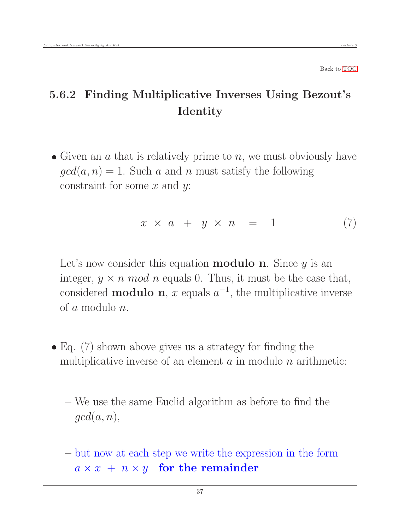## 5.6.2 Finding Multiplicative Inverses Using Bezout's Identity

• Given an  $\alpha$  that is relatively prime to  $n$ , we must obviously have  $gcd(a, n) = 1$ . Such a and n must satisfy the following constraint for some  $x$  and  $y$ :

<span id="page-36-0"></span>
$$
x \times a + y \times n = 1 \tag{7}
$$

Let's now consider this equation **modulo n**. Since  $y$  is an integer,  $y \times n \mod n$  equals 0. Thus, it must be the case that, considered **modulo n**, x equals  $a^{-1}$ , the multiplicative inverse of a modulo n.

- Eq. (7) shown above gives us a strategy for finding the multiplicative inverse of an element  $\alpha$  in modulo  $n$  arithmetic:
	- We use the same Euclid algorithm as before to find the  $qcd(a, n),$
	- but now at each step we write the expression in the form  $a \times x + n \times y$  for the remainder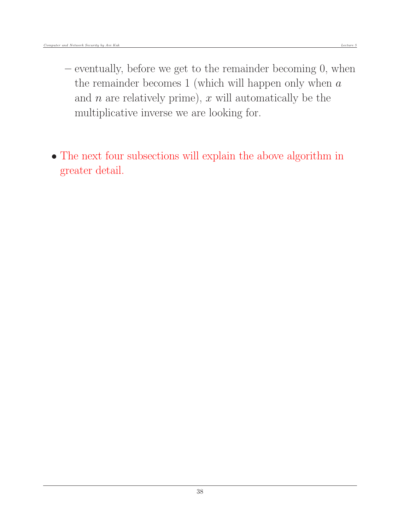- eventually, before we get to the remainder becoming 0, when the remainder becomes 1 (which will happen only when  $a$ and  $n$  are relatively prime),  $x$  will automatically be the multiplicative inverse we are looking for.
- The next four subsections will explain the above algorithm in greater detail.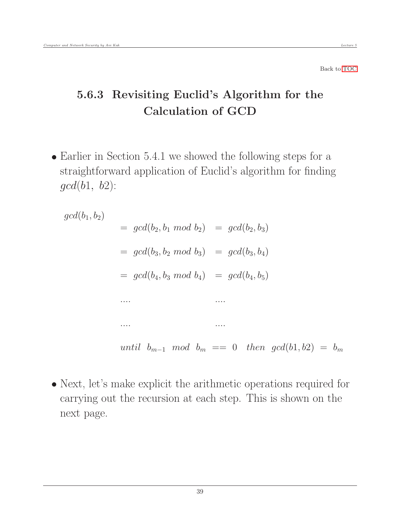## <span id="page-38-0"></span>5.6.3 Revisiting Euclid's Algorithm for the Calculation of GCD

 Earlier in Section 5.4.1 we showed the following steps for a straightforward application of Euclid's algorithm for finding  $gcd(b1, b2)$ :

 $gcd(b_1, b_2)$  $= gcd(b_2, b_1 \mod b_2) = gcd(b_2, b_3)$  $= \gcd(b_3, b_2 \mod b_3) = \gcd(b_3, b_4)$  $= \gcd(b_4, b_3 \mod b_4) = \gcd(b_4, b_5)$ .... .... .... .... until  $b_{m-1}$  mod  $b_m == 0$  then  $gcd(b1, b2) = b_m$ 

 Next, let's make explicit the arithmetic operations required for carrying out the recursion at each step. This is shown on the next page.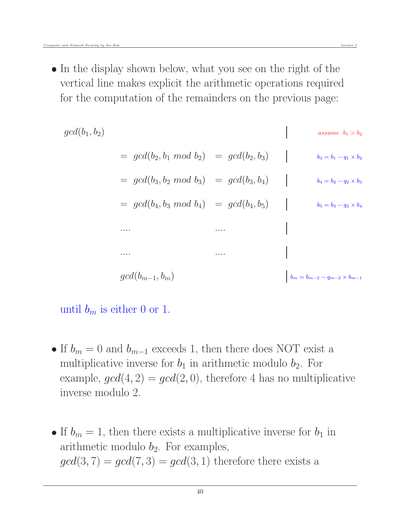• In the display shown below, what you see on the right of the vertical line makes explicit the arithmetic operations required for the computation of the remainders on the previous page:

$$
gcd(b_1, b_2)
$$
\n
$$
= gcd(b_2, b_1 \mod b_2) = gcd(b_2, b_3)
$$
\n
$$
= gcd(b_3, b_2 \mod b_3) = gcd(b_3, b_4)
$$
\n
$$
= gcd(b_4, b_3 \mod b_4) = gcd(b_4, b_5)
$$
\n
$$
= gcd(b_{m-1}, b_m)
$$
\n
$$
\begin{array}{ccc}\n & b_1 = b_1 - q_1 \times b_2 \\
 & b_2 = b_1 - q_2 \times b_3 \\
 & b_3 = b_2 - q_3 \times b_4\n\end{array}
$$
\n
$$
\begin{array}{ccc}\n & b_1 = b_2 - q_2 \times b_3 \\
 & b_2 = b_3 - q_3 \times b_4\n\end{array}
$$
\n
$$
\begin{array}{ccc}\n & b_1 = b_{m-2} - q_{m-2} \times b_{m-1} \\
 & b_m = b_{m-2} - q_{m-2} \times b_{m-1}\n\end{array}
$$

#### until  $b_m$  is either 0 or 1.

- If  $b_m = 0$  and  $b_{m-1}$  exceeds 1, then there does NOT exist a multiplicative inverse for  $b_1$  in arithmetic modulo  $b_2$ . For example,  $gcd(4, 2) = gcd(2, 0)$ , therefore 4 has no multiplicative inverse modulo 2.
- If  $b_m = 1$ , then there exists a multiplicative inverse for  $b_1$  in arithmetic modulo  $b_2$ . For examples,  $gcd(3, 7) = gcd(7, 3) = gcd(3, 1)$  therefore there exists a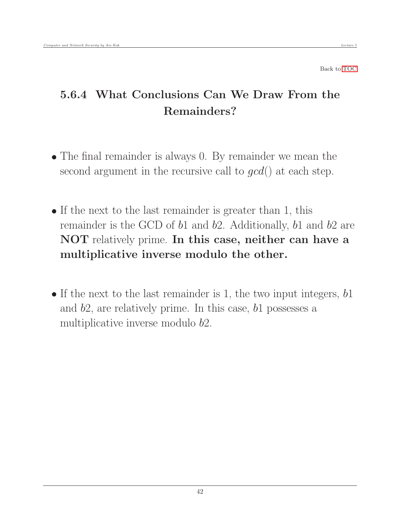## <span id="page-41-0"></span>5.6.4 What Conclusions Can We Draw From the Remainders?

- The final remainder is always 0. By remainder we mean the second argument in the recursive call to  $gcd()$  at each step.
- If the next to the last remainder is greater than 1, this remainder is the GCD of  $b1$  and  $b2$ . Additionally,  $b1$  and  $b2$  are NOT relatively prime. In this case, neither can have a multiplicative inverse modulo the other.
- If the next to the last remainder is 1, the two input integers,  $b1$ and b2, are relatively prime. In this case, b1 possesses a multiplicative inverse modulo b2.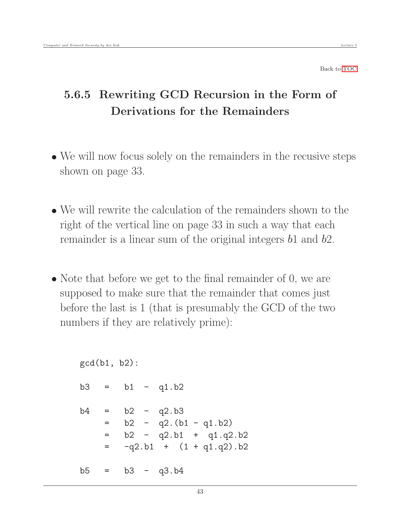## <span id="page-42-0"></span>5.6.5 Rewriting GCD Recursion in the Form of Derivations for the Remainders

- We will now focus solely on the remainders in the recusive steps shown on page 33.
- We will rewrite the calculation of the remainders shown to the right of the vertical line on page 33 in such a way that each remainder is a linear sum of the original integers b1 and b2.
- Note that before we get to the final remainder of 0, we are supposed to make sure that the remainder that comes just before the last is 1 (that is presumably the GCD of the two numbers if they are relatively prime):

```
gcd(b1, b2):
b3 = b1 - q1.b2b4 = b2 - q2.b3= b2 - q2.(b1 - q1.b2)
    = b2 - q2.b1 + q1.q2.b2
    = -q2.b1 + (1 + q1.q2).b2b5 = b3 - q3.b4
```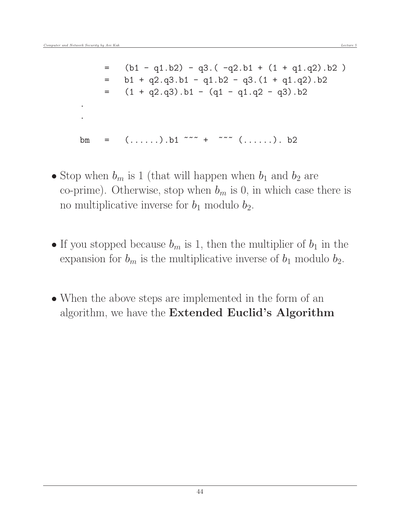. .

$$
= (b1 - q1.b2) - q3.(-q2.b1 + (1 + q1.q2).b2)
$$
  
\n
$$
= b1 + q2.q3.b1 - q1.b2 - q3.(1 + q1.q2).b2
$$
  
\n
$$
= (1 + q2.q3).b1 - (q1 - q1.q2 - q3).b2
$$

bm =  $(......)$ .b1  $\sim$   $+$   $\sim$   $\sim$   $(......)$ .b2

- Stop when  $b_m$  is 1 (that will happen when  $b_1$  and  $b_2$  are co-prime). Otherwise, stop when  $b_m$  is 0, in which case there is no multiplicative inverse for  $b_1$  modulo  $b_2$ .
- If you stopped because  $b_m$  is 1, then the multiplier of  $b_1$  in the expansion for  $b_m$  is the multiplicative inverse of  $b_1$  modulo  $b_2$ .
- When the above steps are implemented in the form of an algorithm, we have the Extended Euclid's Algorithm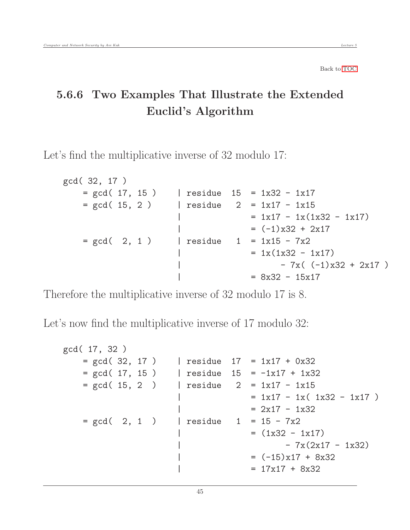### <span id="page-44-0"></span>5.6.6 Two Examples That Illustrate the Extended Euclid's Algorithm

Let's find the multiplicative inverse of 32 modulo 17:

```
gcd( 32, 17 )
   = gcd( 17, 15) | residue 15 = 1x32 - 1x17
   = gcd( 15, 2 ) | residue 2 = 1x17 - 1x15= 1x17 - 1x(1x32 - 1x17)= (-1)x32 + 2x17= gcd( 2, 1) | residue 1 = 1x15 - 7x2|\qquad \qquad = 1x(1x32 - 1x17)-7x( (-1)x32 + 2x17 )= 8x32 - 15x17
```
Therefore the multiplicative inverse of 32 modulo 17 is 8.

Let's now find the multiplicative inverse of 17 modulo 32:

```
gcd( 17, 32 )
   = gcd( 32, 17 ) | residue 17 = 1x17 + 0x32
   = gcd( 17, 15) | residue 15 = -1x17 + 1x32= gcd( 15, 2 ) | residue 2 = 1x17 - 1x15= 1x17 - 1x( 1x32 - 1x17 )= 2x17 - 1x32= gcd( 2, 1 ) | residue 1 = 15 - 7x2= (1x32 - 1x17)-7x(2x17 - 1x32)\vert = (-15)x17 + 8x32| = 17x17 + 8x32
```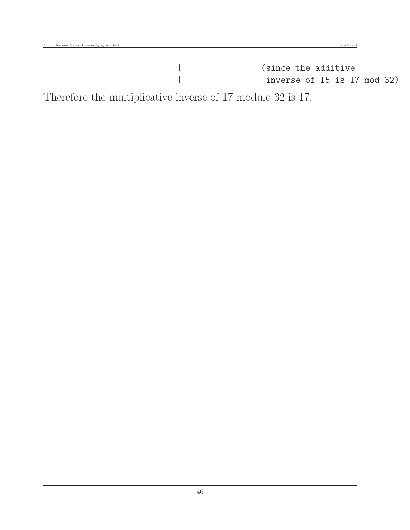Therefore the multiplicative inverse of 17 modulo 32 is 17.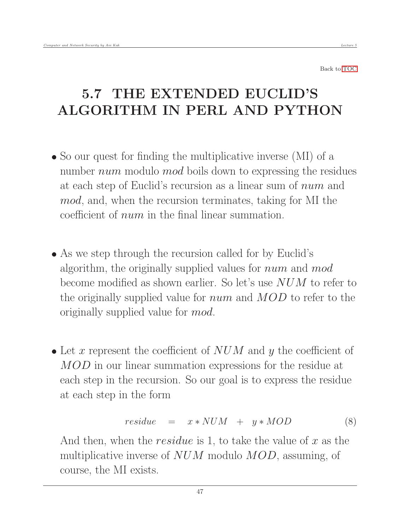# <span id="page-46-0"></span>5.7 THE EXTENDED EUCLID'S ALGORITHM IN PERL AND PYTHON

- So our quest for finding the multiplicative inverse (MI) of a number *num* modulo *mod* boils down to expressing the residues at each step of Euclid's recursion as a linear sum of num and mod, and, when the recursion terminates, taking for MI the coefficient of num in the final linear summation.
- As we step through the recursion called for by Euclid's algorithm, the originally supplied values for *num* and mod become modified as shown earlier. So let's use NUM to refer to the originally supplied value for *num* and  $MOD$  to refer to the originally supplied value for mod.
- Let x represent the coefficient of  $NUM$  and y the coefficient of MOD in our linear summation expressions for the residue at each step in the recursion. So our goal is to express the residue at each step in the form

$$
residue = x * NUM + y * MOD \qquad (8)
$$

And then, when the *residue* is 1, to take the value of x as the multiplicative inverse of  $NUM$  modulo  $MOD$ , assuming, of course, the MI exists.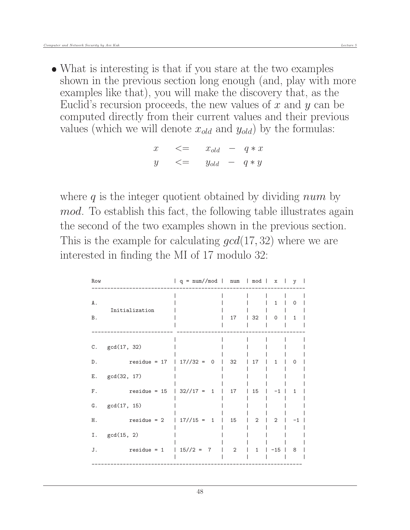What is interesting is that if you stare at the two examples shown in the previous section long enough (and, play with more examples like that), you will make the discovery that, as the Euclid's recursion proceeds, the new values of  $x$  and  $y$  can be computed directly from their current values and their previous values (which we will denote  $x_{old}$  and  $y_{old}$ ) by the formulas:

$$
x \leq x_{old} - q * x
$$
  

$$
y \leq x_{old} - q * y
$$

where q is the integer quotient obtained by dividing  $num$  by mod. To establish this fact, the following table illustrates again the second of the two examples shown in the previous section. This is the example for calculating  $gcd(17, 32)$  where we are interested in finding the MI of 17 modulo 32:

| Row              |                                | $  q = num / mod   num   mod   x$ |    |                | $\Box$                      | y                           |
|------------------|--------------------------------|-----------------------------------|----|----------------|-----------------------------|-----------------------------|
| A .<br><b>B.</b> | Initialization                 |                                   | 17 | 32             | $\mathbf{1}$<br>$\mathbf 0$ | $\mathbf 0$<br>$\mathbf{1}$ |
| С.               | gcd(17, 32)                    |                                   |    |                |                             |                             |
| D.               | $residue = 17$                 | $17//32 = 0$                      | 32 | 17             | $\mathbf{1}$                | $\Omega$                    |
| Ε.               | gcd(32, 17)                    |                                   |    |                |                             |                             |
| F.               | $residue = 15$<br>$\mathbf{L}$ | $32//17 = 1$                      | 17 | 15             | $-1$                        | $\mathbf{1}$                |
| G.               | gcd(17, 15)                    |                                   |    |                |                             |                             |
| Η.               | $residue = 2$<br>$\mathbf{I}$  | $17//15 = 1$                      | 15 | $\overline{2}$ | $\overline{2}$              | $-1$                        |
| Ι.               | gcd(15, 2)                     |                                   |    |                |                             |                             |
| J.               | $residue = 1$<br>L             | $15//2 = 7$                       | 2  | $\mathbf{1}$   | $-15$                       | 8                           |
|                  |                                |                                   |    |                |                             |                             |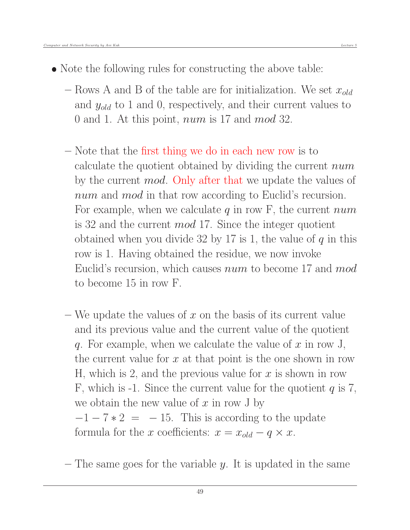- Note the following rules for constructing the above table:
	- Rows A and B of the table are for initialization. We set  $x_{old}$ and  $y_{old}$  to 1 and 0, respectively, and their current values to 0 and 1. At this point, num is 17 and mod 32.
	- Note that the first thing we do in each new row is to calculate the quotient obtained by dividing the current num by the current *mod*. Only after that we update the values of num and mod in that row according to Euclid's recursion. For example, when we calculate q in row F, the current  $num$ is 32 and the current mod 17. Since the integer quotient obtained when you divide 32 by 17 is 1, the value of  $q$  in this row is 1. Having obtained the residue, we now invoke Euclid's recursion, which causes *num* to become 17 and *mod* to become 15 in row F.
	- We update the values of x on the basis of its current value and its previous value and the current value of the quotient q. For example, when we calculate the value of  $x$  in row J, the current value for  $x$  at that point is the one shown in row H, which is 2, and the previous value for  $x$  is shown in row F, which is -1. Since the current value for the quotient  $q$  is 7, we obtain the new value of  $x$  in row J by  $-1 - 7 * 2 = -15$ . This is according to the update formula for the x coefficients:  $x = x_{old} - q \times x$ .
	- $-$  The same goes for the variable y. It is updated in the same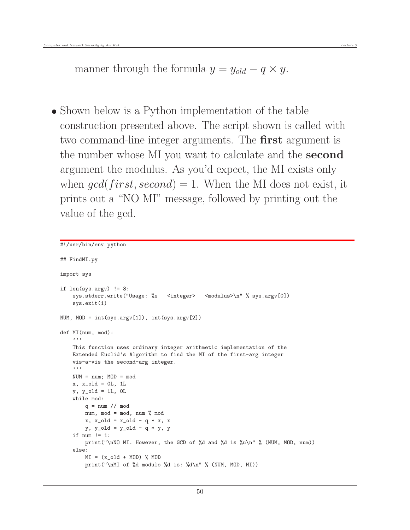manner through the formula  $y = y_{old} - q \times y$ .

• Shown below is a Python implementation of the table construction presented above. The script shown is called with two command-line integer arguments. The **first** argument is the number whose MI you want to calculate and the **second** argument the modulus. As you'd expect, the MI exists only when  $qcd(first, second) = 1$ . When the MI does not exist, it prints out a "NO MI" message, followed by printing out the value of the gcd.

```
#!/usr/bin/env python
## FindMI.py
import sys
if len(sys.argv) != 3:
    sys.stderr.write("Usage: %s <integer> <modulus>\n" % sys.argv[0])
    sys.exit(1)
NUM, MOD = int(sys.argv[1]), int(sys.argv[2])
def MI(num, mod):
    '''
   This function uses ordinary integer arithmetic implementation of the
   Extended Euclid's Algorithm to find the MI of the first-arg integer
   vis-a-vis the second-arg integer.
    '''
   NUM = num; MOD = modx, x_old = 0L, 1L
    y, y_old = 1L, 0L
    while mod:
        q = num // modnum, mod = mod, num % modx, x\_old = x\_old - q * x, xy, y-old = y-old - q * y, y
    if num != 1:
       print("\nNO MI. However, the GCD of %d and %d is %u\n" % (NUM, MOD, num))
    else:
       MI = (x_old + MOD) % MODprint("\nMI of %d modulo %d is: %d\n" % (NUM, MOD, MI))
```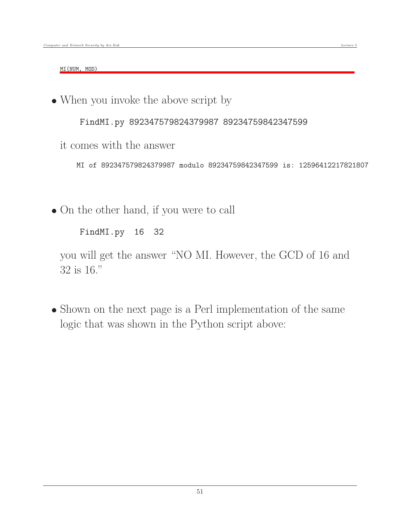MI(NUM, MOD)

When you invoke the above script by

FindMI.py 892347579824379987 89234759842347599

it comes with the answer

MI of 892347579824379987 modulo 89234759842347599 is: 12596412217821807

On the other hand, if you were to call

FindMI.py 16 32

you will get the answer "NO MI. However, the GCD of 16 and 32 is 16."

• Shown on the next page is a Perl implementation of the same logic that was shown in the Python script above: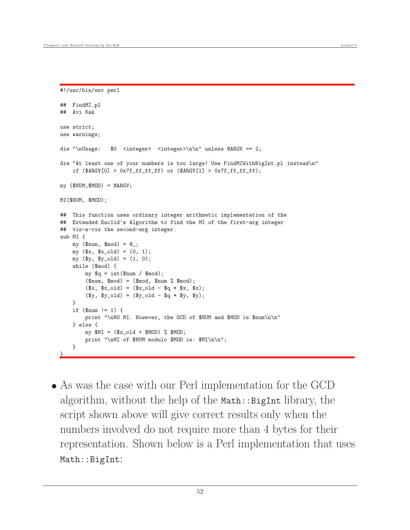#!/usr/bin/env perl

```
## FindMI.pl
## Avi Kak
use strict;
use warnings;
die "\nUsage: $0 <integer> <integer>\n\n" unless @ARGV == 2;
die "At least one of your numbers is too large! Use FindMIWithBigInt.pl instead\n"
    if ($ARGV[0] > 0x7f_fff_fff_f) or ($ARGV[1] > 0x7f_fff_fff_f);my (WVM,WOD) = QARGV;
MI($NUM, $MOD);
## This function uses ordinary integer arithmetic implementation of the
## Extended Euclid's Algorithm to find the MI of the first-arg integer
## vis-a-vis the second-arg integer.
sub MI {
    my (\text{ $num, \text{ $mod$}) = \text{@}};
    my ($x, $x_old) = (0, 1);my (\$y, $y_0ld) = (1, 0);while ($mod) {
        my q = int(\text{enum } / \text{mod});(\text{ $num, \text{ $mod$}) = (\text{ $mod, $num % and };
        ($x, $x_old) = ($x_old - $q * $x, $x);(\$y, \$y_old) = (\$y_old - \$q * \$y, \$y);}
    if (\$num != 1) {
        print "\nNO MI. However, the GCD of $NUM and $MOD is $num\n\n"
    } else {
        my $MI = ($x_old + $MOD) % $MOD;
        print "\nMI of $NUM modulo $MOD is: $MI\n\n";
    }
}
```
 As was the case with our Perl implementation for the GCD algorithm, without the help of the  $M$ ath::BigInt library, the script shown above will give correct results only when the numbers involved do not require more than 4 bytes for their representation. Shown below is a Perl implementation that uses Math::BigInt: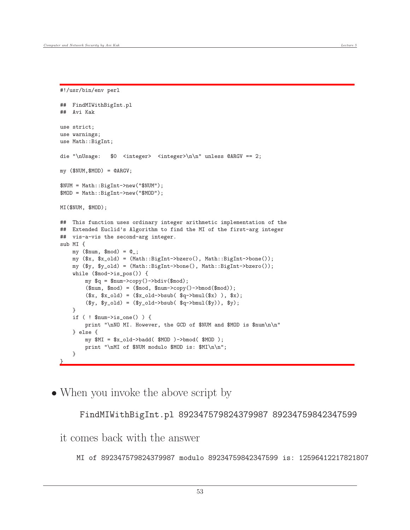```
#!/usr/bin/env perl
```

```
## FindMIWithBigInt.pl
## Avi Kak
use strict;
use warnings;
use Math::BigInt;
die "\nUsage: $0 <integer> <integer>\n\n" unless @ARGV == 2;
my (WMUM,WOD) = QARGV;
$NUM = Math::BigInt->new("$NUM");
$MOD = Math::BigInt->new("$MOD");
MI($NUM, $MOD);
## This function uses ordinary integer arithmetic implementation of the
## Extended Euclid's Algorithm to find the MI of the first-arg integer
## vis-a-vis the second-arg integer.
sub MI {
    my (\text{ $num, \text{ $mod$}) = \text{@}};
    my ($x, $x_old) = (Math::BigInt->bzero(), Math::BigInt->bone());
    my ($y, $y_old) = (Math::BigInt->bone(), Math::BigInt->bzero());
    while ($mod->is_pos()) {
        my q = \text{num} - \text{copy}() - \text{bdiv}(\text{mod});
        (\text{ $mum, $mod$}) = (\text{ $mod, $num->copy()->bmod(\text{ $mod$})};($x, $x_old) = ($x_old->bsub( $q->bmul($x) ), $x);(\$y, \$y_old) = (\$y_old->bsub( \$q->bmul(\$y)), \$y);}
    if ( ! $num->is_one() ) {
        print "\nNO MI. However, the GCD of $NUM and $MOD is $num\n\n"
    } else {
        my $MI = $x_old->badd( $MOD )->bmod( $MOD );
        print "\nMI of $NUM modulo $MOD is: $MI\n\n";
    }
}
```
• When you invoke the above script by

FindMIWithBigInt.pl 892347579824379987 89234759842347599

it comes back with the answer

MI of 892347579824379987 modulo 89234759842347599 is: 12596412217821807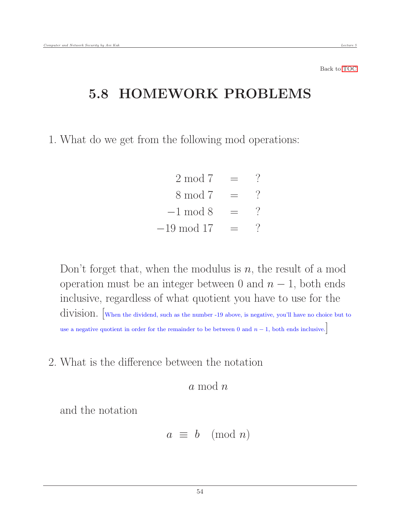### 5.8 HOMEWORK PROBLEMS

1. What do we get from the following mod operations:

<span id="page-53-0"></span> $2 \mod 7 = ?$  $8 \mod 7 = ?$  $-1 \mod 8 = ?$  $-19 \mod 17 = ?$ 

Don't forget that, when the modulus is  $n$ , the result of a mod operation must be an integer between 0 and  $n-1$ , both ends inclusive, regardless of what quotient you have to use for the division. [When the dividend, such as the number -19 above, is negative, you'll have no choice but to use a negative quotient in order for the remainder to be between 0 and  $n - 1$ , both ends inclusive.

2. What is the difference between the notation

a mod n

and the notation

$$
a \equiv b \pmod{n}
$$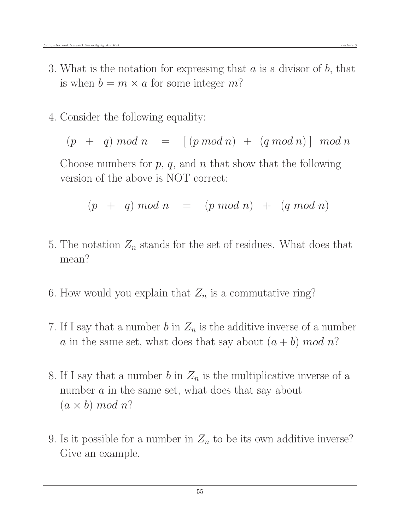- 3. What is the notation for expressing that  $a$  is a divisor of  $b$ , that is when  $b = m \times a$  for some integer m?
- 4. Consider the following equality:

 $(p + q) \mod n = [(p \mod n) + (q \mod n)] \mod n$ 

Choose numbers for  $p, q$ , and  $n$  that show that the following version of the above is NOT correct:

$$
(p + q) mod n = (p mod n) + (q mod n)
$$

- 5. The notation  $Z_n$  stands for the set of residues. What does that mean?
- 6. How would you explain that  $Z_n$  is a commutative ring?
- 7. If I say that a number b in  $Z_n$  is the additive inverse of a number a in the same set, what does that say about  $(a + b) \mod n$ ?
- 8. If I say that a number b in  $Z_n$  is the multiplicative inverse of a number a in the same set, what does that say about  $(a \times b) \mod n$ ?
- 9. Is it possible for a number in  $Z_n$  to be its own additive inverse? Give an example.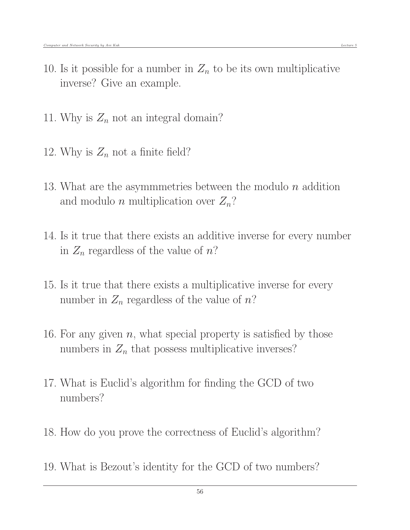- 10. Is it possible for a number in  $Z_n$  to be its own multiplicative inverse? Give an example.
- 11. Why is  $Z_n$  not an integral domain?
- 12. Why is  $Z_n$  not a finite field?
- 13. What are the asymmmetries between the modulo  $n$  addition and modulo *n* multiplication over  $Z_n$ ?
- 14. Is it true that there exists an additive inverse for every number in  $Z_n$  regardless of the value of n?
- 15. Is it true that there exists a multiplicative inverse for every number in  $Z_n$  regardless of the value of  $n$ ?
- 16. For any given  $n$ , what special property is satisfied by those numbers in  $Z_n$  that possess multiplicative inverses?
- 17. What is Euclid's algorithm for finding the GCD of two numbers?
- 18. How do you prove the correctness of Euclid's algorithm?
- 19. What is Bezout's identity for the GCD of two numbers?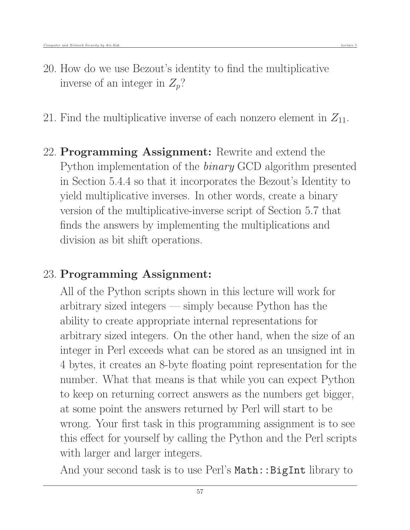- 20. How do we use Bezout's identity to find the multiplicative inverse of an integer in  $Z_p$ ?
- 21. Find the multiplicative inverse of each nonzero element in  $Z_{11}$ .
- 22. Programming Assignment: Rewrite and extend the Python implementation of the binary GCD algorithm presented in Section 5.4.4 so that it incorporates the Bezout's Identity to yield multiplicative inverses. In other words, create a binary version of the multiplicative-inverse script of Section 5.7 that finds the answers by implementing the multiplications and division as bit shift operations.

### 23. Programming Assignment:

All of the Python scripts shown in this lecture will work for arbitrary sized integers — simply because Python has the ability to create appropriate internal representations for arbitrary sized integers. On the other hand, when the size of an integer in Perl exceeds what can be stored as an unsigned int in 4 bytes, it creates an 8-byte floating point representation for the number. What that means is that while you can expect Python to keep on returning correct answers as the numbers get bigger, at some point the answers returned by Perl will start to be wrong. Your first task in this programming assignment is to see this effect for yourself by calling the Python and the Perl scripts with larger and larger integers.

And your second task is to use Perl's Math:: BigInt library to